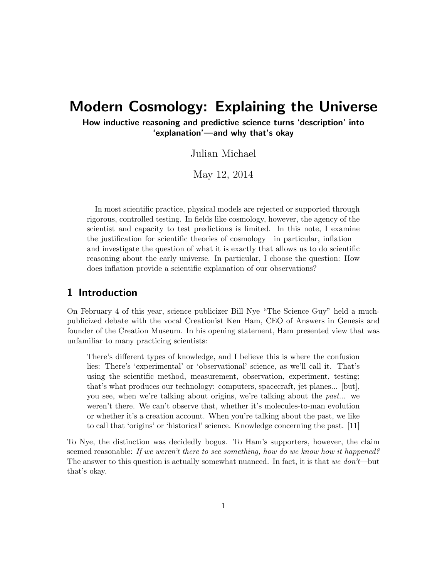# Modern Cosmology: Explaining the Universe

How inductive reasoning and predictive science turns 'description' into 'explanation'—and why that's okay

Julian Michael

May 12, 2014

In most scientific practice, physical models are rejected or supported through rigorous, controlled testing. In fields like cosmology, however, the agency of the scientist and capacity to test predictions is limited. In this note, I examine the justification for scientific theories of cosmology—in particular, inflation and investigate the question of what it is exactly that allows us to do scientific reasoning about the early universe. In particular, I choose the question: How does inflation provide a scientific explanation of our observations?

# 1 Introduction

On February 4 of this year, science publicizer Bill Nye "The Science Guy" held a muchpublicized debate with the vocal Creationist Ken Ham, CEO of Answers in Genesis and founder of the Creation Museum. In his opening statement, Ham presented view that was unfamiliar to many practicing scientists:

There's different types of knowledge, and I believe this is where the confusion lies: There's 'experimental' or 'observational' science, as we'll call it. That's using the scientific method, measurement, observation, experiment, testing; that's what produces our technology: computers, spacecraft, jet planes... [but], you see, when we're talking about origins, we're talking about the past... we weren't there. We can't observe that, whether it's molecules-to-man evolution or whether it's a creation account. When you're talking about the past, we like to call that 'origins' or 'historical' science. Knowledge concerning the past. [11]

To Nye, the distinction was decidedly bogus. To Ham's supporters, however, the claim seemed reasonable: If we weren't there to see something, how do we know how it happened? The answer to this question is actually somewhat nuanced. In fact, it is that we don't—but that's okay.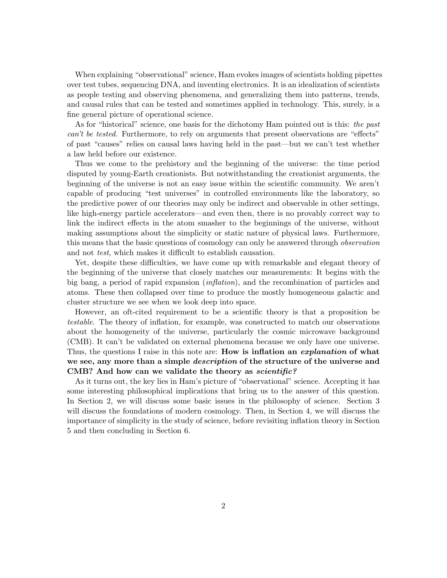When explaining "observational" science, Ham evokes images of scientists holding pipettes over test tubes, sequencing DNA, and inventing electronics. It is an idealization of scientists as people testing and observing phenomena, and generalizing them into patterns, trends, and causal rules that can be tested and sometimes applied in technology. This, surely, is a fine general picture of operational science.

As for "historical" science, one basis for the dichotomy Ham pointed out is this: the past can't be tested. Furthermore, to rely on arguments that present observations are "effects" of past "causes" relies on causal laws having held in the past—but we can't test whether a law held before our existence.

Thus we come to the prehistory and the beginning of the universe: the time period disputed by young-Earth creationists. But notwithstanding the creationist arguments, the beginning of the universe is not an easy issue within the scientific community. We aren't capable of producing "test universes" in controlled environments like the laboratory, so the predictive power of our theories may only be indirect and observable in other settings, like high-energy particle accelerators—and even then, there is no provably correct way to link the indirect effects in the atom smasher to the beginnings of the universe, without making assumptions about the simplicity or static nature of physical laws. Furthermore, this means that the basic questions of cosmology can only be answered through observation and not test, which makes it difficult to establish causation.

Yet, despite these difficulties, we have come up with remarkable and elegant theory of the beginning of the universe that closely matches our measurements: It begins with the big bang, a period of rapid expansion (inflation), and the recombination of particles and atoms. These then collapsed over time to produce the mostly homogeneous galactic and cluster structure we see when we look deep into space.

However, an oft-cited requirement to be a scientific theory is that a proposition be testable. The theory of inflation, for example, was constructed to match our observations about the homogeneity of the universe, particularly the cosmic microwave background (CMB). It can't be validated on external phenomena because we only have one universe. Thus, the questions I raise in this note are: **How is inflation an explanation of what** we see, any more than a simple *description* of the structure of the universe and CMB? And how can we validate the theory as *scientific?* 

As it turns out, the key lies in Ham's picture of "observational" science. Accepting it has some interesting philosophical implications that bring us to the answer of this question. In Section 2, we will discuss some basic issues in the philosophy of science. Section 3 will discuss the foundations of modern cosmology. Then, in Section 4, we will discuss the importance of simplicity in the study of science, before revisiting inflation theory in Section 5 and then concluding in Section 6.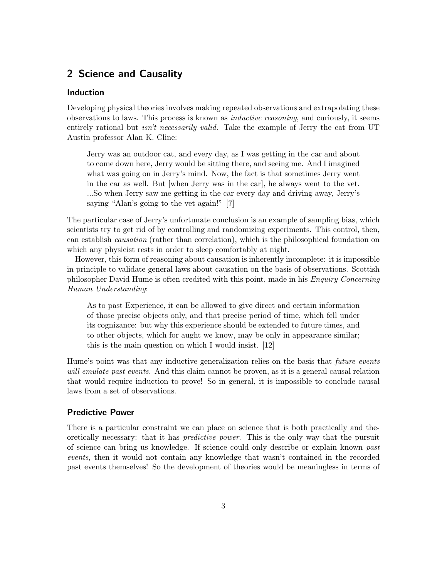# 2 Science and Causality

### Induction

Developing physical theories involves making repeated observations and extrapolating these observations to laws. This process is known as inductive reasoning, and curiously, it seems entirely rational but *isn't necessarily valid*. Take the example of Jerry the cat from UT Austin professor Alan K. Cline:

Jerry was an outdoor cat, and every day, as I was getting in the car and about to come down here, Jerry would be sitting there, and seeing me. And I imagined what was going on in Jerry's mind. Now, the fact is that sometimes Jerry went in the car as well. But [when Jerry was in the car], he always went to the vet. ...So when Jerry saw me getting in the car every day and driving away, Jerry's saying "Alan's going to the vet again!" [7]

The particular case of Jerry's unfortunate conclusion is an example of sampling bias, which scientists try to get rid of by controlling and randomizing experiments. This control, then, can establish causation (rather than correlation), which is the philosophical foundation on which any physicist rests in order to sleep comfortably at night.

However, this form of reasoning about causation is inherently incomplete: it is impossible in principle to validate general laws about causation on the basis of observations. Scottish philosopher David Hume is often credited with this point, made in his Enquiry Concerning Human Understanding:

As to past Experience, it can be allowed to give direct and certain information of those precise objects only, and that precise period of time, which fell under its cognizance: but why this experience should be extended to future times, and to other objects, which for aught we know, may be only in appearance similar; this is the main question on which I would insist. [12]

Hume's point was that any inductive generalization relies on the basis that *future events* will emulate past events. And this claim cannot be proven, as it is a general causal relation that would require induction to prove! So in general, it is impossible to conclude causal laws from a set of observations.

#### Predictive Power

There is a particular constraint we can place on science that is both practically and theoretically necessary: that it has predictive power. This is the only way that the pursuit of science can bring us knowledge. If science could only describe or explain known past events, then it would not contain any knowledge that wasn't contained in the recorded past events themselves! So the development of theories would be meaningless in terms of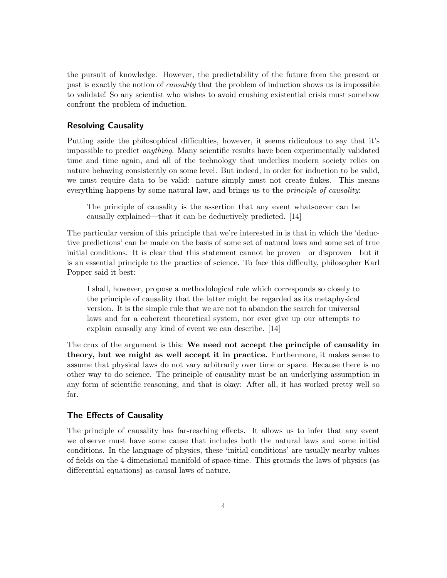the pursuit of knowledge. However, the predictability of the future from the present or past is exactly the notion of causality that the problem of induction shows us is impossible to validate! So any scientist who wishes to avoid crushing existential crisis must somehow confront the problem of induction.

#### Resolving Causality

Putting aside the philosophical difficulties, however, it seems ridiculous to say that it's impossible to predict anything. Many scientific results have been experimentally validated time and time again, and all of the technology that underlies modern society relies on nature behaving consistently on some level. But indeed, in order for induction to be valid, we must require data to be valid: nature simply must not create flukes. This means everything happens by some natural law, and brings us to the *principle of causality*:

The principle of causality is the assertion that any event whatsoever can be causally explained—that it can be deductively predicted. [14]

The particular version of this principle that we're interested in is that in which the 'deductive predictions' can be made on the basis of some set of natural laws and some set of true initial conditions. It is clear that this statement cannot be proven—or disproven—but it is an essential principle to the practice of science. To face this difficulty, philosopher Karl Popper said it best:

I shall, however, propose a methodological rule which corresponds so closely to the principle of causality that the latter might be regarded as its metaphysical version. It is the simple rule that we are not to abandon the search for universal laws and for a coherent theoretical system, nor ever give up our attempts to explain causally any kind of event we can describe. [14]

The crux of the argument is this: We need not accept the principle of causality in theory, but we might as well accept it in practice. Furthermore, it makes sense to assume that physical laws do not vary arbitrarily over time or space. Because there is no other way to do science. The principle of causality must be an underlying assumption in any form of scientific reasoning, and that is okay: After all, it has worked pretty well so far.

#### The Effects of Causality

The principle of causality has far-reaching effects. It allows us to infer that any event we observe must have some cause that includes both the natural laws and some initial conditions. In the language of physics, these 'initial conditions' are usually nearby values of fields on the 4-dimensional manifold of space-time. This grounds the laws of physics (as differential equations) as causal laws of nature.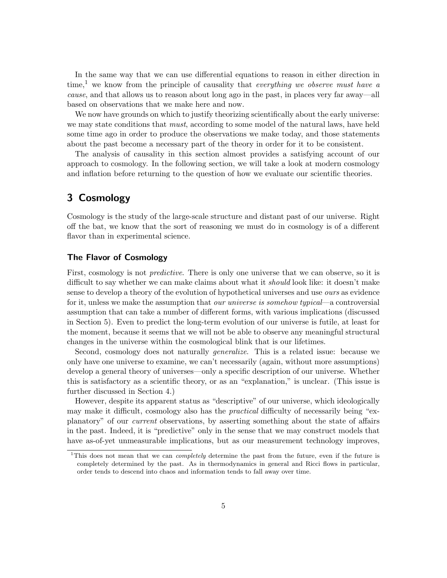In the same way that we can use differential equations to reason in either direction in time,<sup>1</sup> we know from the principle of causality that everything we observe must have a cause, and that allows us to reason about long ago in the past, in places very far away—all based on observations that we make here and now.

We now have grounds on which to justify theorizing scientifically about the early universe: we may state conditions that *must*, according to some model of the natural laws, have held some time ago in order to produce the observations we make today, and those statements about the past become a necessary part of the theory in order for it to be consistent.

The analysis of causality in this section almost provides a satisfying account of our approach to cosmology. In the following section, we will take a look at modern cosmology and inflation before returning to the question of how we evaluate our scientific theories.

# 3 Cosmology

Cosmology is the study of the large-scale structure and distant past of our universe. Right off the bat, we know that the sort of reasoning we must do in cosmology is of a different flavor than in experimental science.

### The Flavor of Cosmology

First, cosmology is not *predictive*. There is only one universe that we can observe, so it is difficult to say whether we can make claims about what it should look like: it doesn't make sense to develop a theory of the evolution of hypothetical universes and use ours as evidence for it, unless we make the assumption that *our universe is somehow typical*—a controversial assumption that can take a number of different forms, with various implications (discussed in Section 5). Even to predict the long-term evolution of our universe is futile, at least for the moment, because it seems that we will not be able to observe any meaningful structural changes in the universe within the cosmological blink that is our lifetimes.

Second, cosmology does not naturally generalize. This is a related issue: because we only have one universe to examine, we can't necessarily (again, without more assumptions) develop a general theory of universes—only a specific description of our universe. Whether this is satisfactory as a scientific theory, or as an "explanation," is unclear. (This issue is further discussed in Section 4.)

However, despite its apparent status as "descriptive" of our universe, which ideologically may make it difficult, cosmology also has the *practical* difficulty of necessarily being "explanatory" of our current observations, by asserting something about the state of affairs in the past. Indeed, it is "predictive" only in the sense that we may construct models that have as-of-yet unmeasurable implications, but as our measurement technology improves,

<sup>&</sup>lt;sup>1</sup>This does not mean that we can *completely* determine the past from the future, even if the future is completely determined by the past. As in thermodynamics in general and Ricci flows in particular, order tends to descend into chaos and information tends to fall away over time.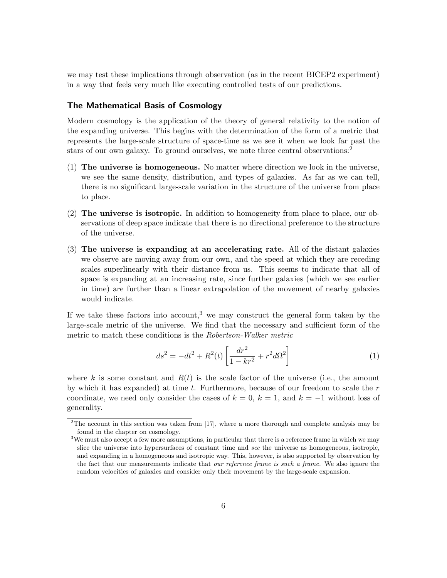we may test these implications through observation (as in the recent BICEP2 experiment) in a way that feels very much like executing controlled tests of our predictions.

#### The Mathematical Basis of Cosmology

Modern cosmology is the application of the theory of general relativity to the notion of the expanding universe. This begins with the determination of the form of a metric that represents the large-scale structure of space-time as we see it when we look far past the stars of our own galaxy. To ground ourselves, we note three central observations:<sup>2</sup>

- (1) The universe is homogeneous. No matter where direction we look in the universe, we see the same density, distribution, and types of galaxies. As far as we can tell, there is no significant large-scale variation in the structure of the universe from place to place.
- (2) The universe is isotropic. In addition to homogeneity from place to place, our observations of deep space indicate that there is no directional preference to the structure of the universe.
- (3) The universe is expanding at an accelerating rate. All of the distant galaxies we observe are moving away from our own, and the speed at which they are receding scales superlinearly with their distance from us. This seems to indicate that all of space is expanding at an increasing rate, since further galaxies (which we see earlier in time) are further than a linear extrapolation of the movement of nearby galaxies would indicate.

If we take these factors into account,<sup>3</sup> we may construct the general form taken by the large-scale metric of the universe. We find that the necessary and sufficient form of the metric to match these conditions is the Robertson-Walker metric

$$
ds^{2} = -dt^{2} + R^{2}(t) \left[ \frac{dr^{2}}{1 - kr^{2}} + r^{2} d\Omega^{2} \right]
$$
 (1)

where k is some constant and  $R(t)$  is the scale factor of the universe (i.e., the amount by which it has expanded) at time  $t$ . Furthermore, because of our freedom to scale the  $r$ coordinate, we need only consider the cases of  $k = 0$ ,  $k = 1$ , and  $k = -1$  without loss of generality.

 $2$ The account in this section was taken from [17], where a more thorough and complete analysis may be found in the chapter on cosmology.

<sup>&</sup>lt;sup>3</sup>We must also accept a few more assumptions, in particular that there is a reference frame in which we may slice the universe into hypersurfaces of constant time and see the universe as homogeneous, isotropic, and expanding in a homogeneous and isotropic way. This, however, is also supported by observation by the fact that our measurements indicate that *our reference frame is such a frame*. We also ignore the random velocities of galaxies and consider only their movement by the large-scale expansion.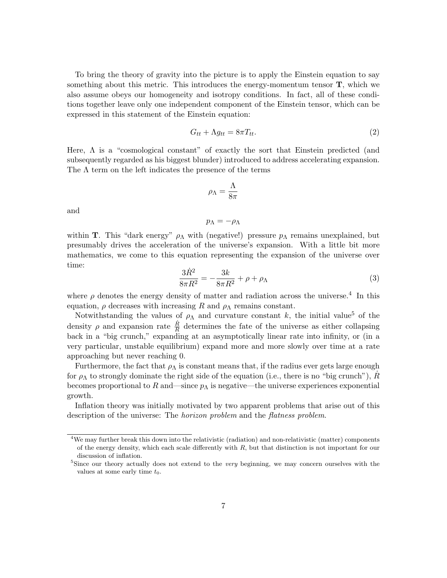To bring the theory of gravity into the picture is to apply the Einstein equation to say something about this metric. This introduces the energy-momentum tensor  $\mathbf{T}$ , which we also assume obeys our homogeneity and isotropy conditions. In fact, all of these conditions together leave only one independent component of the Einstein tensor, which can be expressed in this statement of the Einstein equation:

$$
G_{tt} + \Lambda g_{tt} = 8\pi T_{tt}.
$$
\n<sup>(2)</sup>

Here,  $\Lambda$  is a "cosmological constant" of exactly the sort that Einstein predicted (and subsequently regarded as his biggest blunder) introduced to address accelerating expansion. The  $\Lambda$  term on the left indicates the presence of the terms

$$
\rho_{\Lambda}=\frac{\Lambda}{8\pi}
$$

and

$$
p_{\Lambda}=-\rho_{\Lambda}
$$

within T. This "dark energy"  $\rho_{\Lambda}$  with (negative!) pressure  $p_{\Lambda}$  remains unexplained, but presumably drives the acceleration of the universe's expansion. With a little bit more mathematics, we come to this equation representing the expansion of the universe over time:

$$
\frac{3\dot{R}^2}{8\pi R^2} = -\frac{3k}{8\pi R^2} + \rho + \rho_\Lambda \tag{3}
$$

where  $\rho$  denotes the energy density of matter and radiation across the universe.<sup>4</sup> In this equation,  $\rho$  decreases with increasing R and  $\rho_{\Lambda}$  remains constant.

Notwithstanding the values of  $\rho_{\Lambda}$  and curvature constant k, the initial value<sup>5</sup> of the density  $\rho$  and expansion rate  $\frac{\dot{R}}{R}$  determines the fate of the universe as either collapsing back in a "big crunch," expanding at an asymptotically linear rate into infinity, or (in a very particular, unstable equilibrium) expand more and more slowly over time at a rate approaching but never reaching 0.

Furthermore, the fact that  $\rho_{\Lambda}$  is constant means that, if the radius ever gets large enough for  $\rho_{\Lambda}$  to strongly dominate the right side of the equation (i.e., there is no "big crunch"), R becomes proportional to R and—since  $p_{\Lambda}$  is negative—the universe experiences exponential growth.

Inflation theory was initially motivated by two apparent problems that arise out of this description of the universe: The *horizon problem* and the *flatness problem*.

<sup>4</sup>We may further break this down into the relativistic (radiation) and non-relativistic (matter) components of the energy density, which each scale differently with  $R$ , but that distinction is not important for our discussion of inflation.

<sup>&</sup>lt;sup>5</sup>Since our theory actually does not extend to the very beginning, we may concern ourselves with the values at some early time  $t_0$ .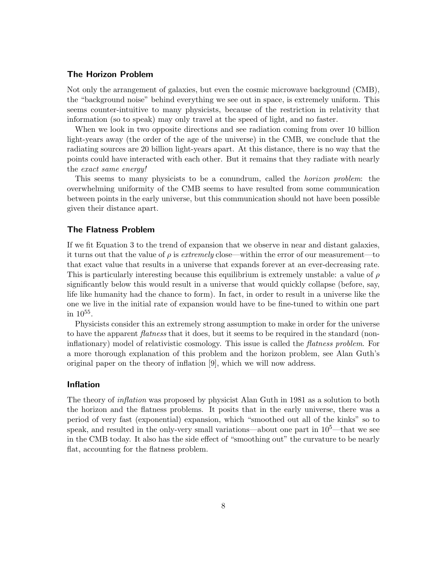#### The Horizon Problem

Not only the arrangement of galaxies, but even the cosmic microwave background (CMB), the "background noise" behind everything we see out in space, is extremely uniform. This seems counter-intuitive to many physicists, because of the restriction in relativity that information (so to speak) may only travel at the speed of light, and no faster.

When we look in two opposite directions and see radiation coming from over 10 billion light-years away (the order of the age of the universe) in the CMB, we conclude that the radiating sources are 20 billion light-years apart. At this distance, there is no way that the points could have interacted with each other. But it remains that they radiate with nearly the exact same energy!

This seems to many physicists to be a conundrum, called the horizon problem: the overwhelming uniformity of the CMB seems to have resulted from some communication between points in the early universe, but this communication should not have been possible given their distance apart.

#### The Flatness Problem

If we fit Equation 3 to the trend of expansion that we observe in near and distant galaxies, it turns out that the value of  $\rho$  is extremely close—within the error of our measurement—to that exact value that results in a universe that expands forever at an ever-decreasing rate. This is particularly interesting because this equilibrium is extremely unstable: a value of  $\rho$ significantly below this would result in a universe that would quickly collapse (before, say, life like humanity had the chance to form). In fact, in order to result in a universe like the one we live in the initial rate of expansion would have to be fine-tuned to within one part in  $10^{55}$ .

Physicists consider this an extremely strong assumption to make in order for the universe to have the apparent *flatness* that it does, but it seems to be required in the standard (noninflationary) model of relativistic cosmology. This issue is called the *flatness problem*. For a more thorough explanation of this problem and the horizon problem, see Alan Guth's original paper on the theory of inflation [9], which we will now address.

#### Inflation

The theory of inflation was proposed by physicist Alan Guth in 1981 as a solution to both the horizon and the flatness problems. It posits that in the early universe, there was a period of very fast (exponential) expansion, which "smoothed out all of the kinks" so to speak, and resulted in the only-very small variations—about one part in  $10^5$ —that we see in the CMB today. It also has the side effect of "smoothing out" the curvature to be nearly flat, accounting for the flatness problem.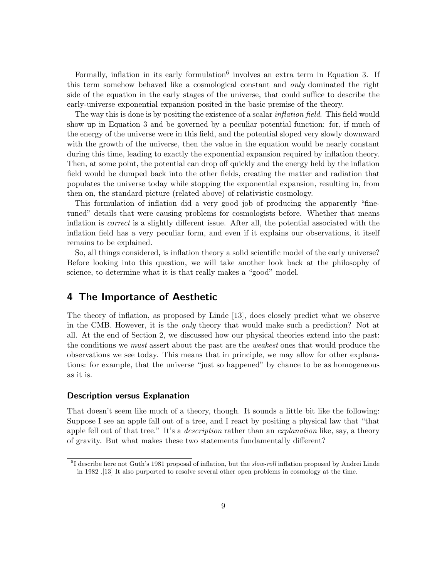Formally, inflation in its early formulation<sup>6</sup> involves an extra term in Equation 3. If this term somehow behaved like a cosmological constant and only dominated the right side of the equation in the early stages of the universe, that could suffice to describe the early-universe exponential expansion posited in the basic premise of the theory.

The way this is done is by positing the existence of a scalar *inflation field*. This field would show up in Equation 3 and be governed by a peculiar potential function: for, if much of the energy of the universe were in this field, and the potential sloped very slowly downward with the growth of the universe, then the value in the equation would be nearly constant during this time, leading to exactly the exponential expansion required by inflation theory. Then, at some point, the potential can drop off quickly and the energy held by the inflation field would be dumped back into the other fields, creating the matter and radiation that populates the universe today while stopping the exponential expansion, resulting in, from then on, the standard picture (related above) of relativistic cosmology.

This formulation of inflation did a very good job of producing the apparently "finetuned" details that were causing problems for cosmologists before. Whether that means inflation is correct is a slightly different issue. After all, the potential associated with the inflation field has a very peculiar form, and even if it explains our observations, it itself remains to be explained.

So, all things considered, is inflation theory a solid scientific model of the early universe? Before looking into this question, we will take another look back at the philosophy of science, to determine what it is that really makes a "good" model.

### 4 The Importance of Aesthetic

The theory of inflation, as proposed by Linde [13], does closely predict what we observe in the CMB. However, it is the only theory that would make such a prediction? Not at all. At the end of Section 2, we discussed how our physical theories extend into the past: the conditions we *must* assert about the past are the *weakest* ones that would produce the observations we see today. This means that in principle, we may allow for other explanations: for example, that the universe "just so happened" by chance to be as homogeneous as it is.

#### Description versus Explanation

That doesn't seem like much of a theory, though. It sounds a little bit like the following: Suppose I see an apple fall out of a tree, and I react by positing a physical law that "that apple fell out of that tree." It's a *description* rather than an *explanation* like, say, a theory of gravity. But what makes these two statements fundamentally different?

<sup>&</sup>lt;sup>6</sup>I describe here not Guth's 1981 proposal of inflation, but the *slow-roll* inflation proposed by Andrei Linde in 1982 .[13] It also purported to resolve several other open problems in cosmology at the time.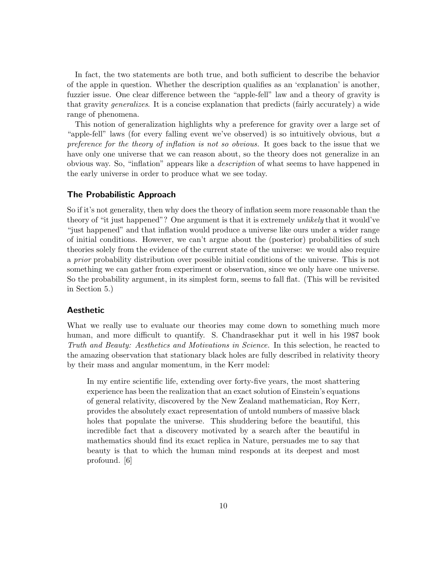In fact, the two statements are both true, and both sufficient to describe the behavior of the apple in question. Whether the description qualifies as an 'explanation' is another, fuzzier issue. One clear difference between the "apple-fell" law and a theory of gravity is that gravity generalizes. It is a concise explanation that predicts (fairly accurately) a wide range of phenomena.

This notion of generalization highlights why a preference for gravity over a large set of "apple-fell" laws (for every falling event we've observed) is so intuitively obvious, but a preference for the theory of inflation is not so obvious. It goes back to the issue that we have only one universe that we can reason about, so the theory does not generalize in an obvious way. So, "inflation" appears like a description of what seems to have happened in the early universe in order to produce what we see today.

#### The Probabilistic Approach

So if it's not generality, then why does the theory of inflation seem more reasonable than the theory of "it just happened"? One argument is that it is extremely unlikely that it would've "just happened" and that inflation would produce a universe like ours under a wider range of initial conditions. However, we can't argue about the (posterior) probabilities of such theories solely from the evidence of the current state of the universe: we would also require a prior probability distribution over possible initial conditions of the universe. This is not something we can gather from experiment or observation, since we only have one universe. So the probability argument, in its simplest form, seems to fall flat. (This will be revisited in Section 5.)

#### Aesthetic

What we really use to evaluate our theories may come down to something much more human, and more difficult to quantify. S. Chandrasekhar put it well in his 1987 book Truth and Beauty: Aesthetics and Motivations in Science. In this selection, he reacted to the amazing observation that stationary black holes are fully described in relativity theory by their mass and angular momentum, in the Kerr model:

In my entire scientific life, extending over forty-five years, the most shattering experience has been the realization that an exact solution of Einstein's equations of general relativity, discovered by the New Zealand mathematician, Roy Kerr, provides the absolutely exact representation of untold numbers of massive black holes that populate the universe. This shuddering before the beautiful, this incredible fact that a discovery motivated by a search after the beautiful in mathematics should find its exact replica in Nature, persuades me to say that beauty is that to which the human mind responds at its deepest and most profound. [6]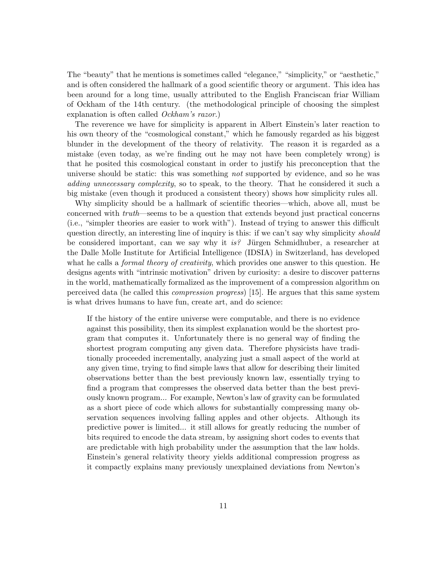The "beauty" that he mentions is sometimes called "elegance," "simplicity," or "aesthetic," and is often considered the hallmark of a good scientific theory or argument. This idea has been around for a long time, usually attributed to the English Franciscan friar William of Ockham of the 14th century. (the methodological principle of choosing the simplest explanation is often called *Ockham's razor*.)

The reverence we have for simplicity is apparent in Albert Einstein's later reaction to his own theory of the "cosmological constant," which he famously regarded as his biggest blunder in the development of the theory of relativity. The reason it is regarded as a mistake (even today, as we're finding out he may not have been completely wrong) is that he posited this cosmological constant in order to justify his preconception that the universe should be static: this was something not supported by evidence, and so he was adding unnecessary complexity, so to speak, to the theory. That he considered it such a big mistake (even though it produced a consistent theory) shows how simplicity rules all.

Why simplicity should be a hallmark of scientific theories—which, above all, must be concerned with truth—seems to be a question that extends beyond just practical concerns (i.e., "simpler theories are easier to work with"). Instead of trying to answer this difficult question directly, an interesting line of inquiry is this: if we can't say why simplicity *should* be considered important, can we say why it is? Jürgen Schmidhuber, a researcher at the Dalle Molle Institute for Artificial Intelligence (IDSIA) in Switzerland, has developed what he calls a *formal theory of creativity*, which provides one answer to this question. He designs agents with "intrinsic motivation" driven by curiosity: a desire to discover patterns in the world, mathematically formalized as the improvement of a compression algorithm on perceived data (he called this compression progress) [15]. He argues that this same system is what drives humans to have fun, create art, and do science:

If the history of the entire universe were computable, and there is no evidence against this possibility, then its simplest explanation would be the shortest program that computes it. Unfortunately there is no general way of finding the shortest program computing any given data. Therefore physicists have traditionally proceeded incrementally, analyzing just a small aspect of the world at any given time, trying to find simple laws that allow for describing their limited observations better than the best previously known law, essentially trying to find a program that compresses the observed data better than the best previously known program... For example, Newton's law of gravity can be formulated as a short piece of code which allows for substantially compressing many observation sequences involving falling apples and other objects. Although its predictive power is limited... it still allows for greatly reducing the number of bits required to encode the data stream, by assigning short codes to events that are predictable with high probability under the assumption that the law holds. Einstein's general relativity theory yields additional compression progress as it compactly explains many previously unexplained deviations from Newton's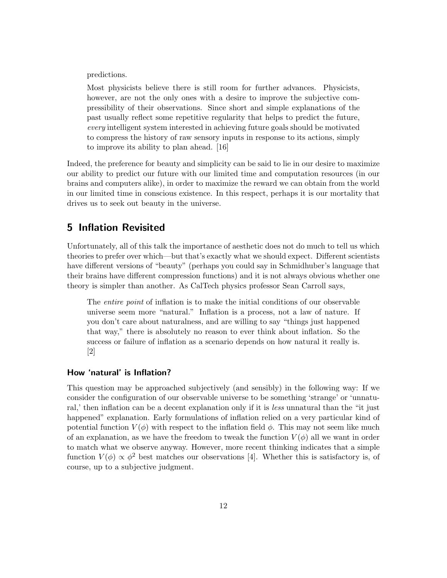predictions.

Most physicists believe there is still room for further advances. Physicists, however, are not the only ones with a desire to improve the subjective compressibility of their observations. Since short and simple explanations of the past usually reflect some repetitive regularity that helps to predict the future, every intelligent system interested in achieving future goals should be motivated to compress the history of raw sensory inputs in response to its actions, simply to improve its ability to plan ahead. [16]

Indeed, the preference for beauty and simplicity can be said to lie in our desire to maximize our ability to predict our future with our limited time and computation resources (in our brains and computers alike), in order to maximize the reward we can obtain from the world in our limited time in conscious existence. In this respect, perhaps it is our mortality that drives us to seek out beauty in the universe.

## 5 Inflation Revisited

Unfortunately, all of this talk the importance of aesthetic does not do much to tell us which theories to prefer over which—but that's exactly what we should expect. Different scientists have different versions of "beauty" (perhaps you could say in Schmidhuber's language that their brains have different compression functions) and it is not always obvious whether one theory is simpler than another. As CalTech physics professor Sean Carroll says,

The entire point of inflation is to make the initial conditions of our observable universe seem more "natural." Inflation is a process, not a law of nature. If you don't care about naturalness, and are willing to say "things just happened that way," there is absolutely no reason to ever think about inflation. So the success or failure of inflation as a scenario depends on how natural it really is. [2]

### How 'natural' is Inflation?

This question may be approached subjectively (and sensibly) in the following way: If we consider the configuration of our observable universe to be something 'strange' or 'unnatural,' then inflation can be a decent explanation only if it is *less* unnatural than the "it just happened" explanation. Early formulations of inflation relied on a very particular kind of potential function  $V(\phi)$  with respect to the inflation field  $\phi$ . This may not seem like much of an explanation, as we have the freedom to tweak the function  $V(\phi)$  all we want in order to match what we observe anyway. However, more recent thinking indicates that a simple function  $V(\phi) \propto \phi^2$  best matches our observations [4]. Whether this is satisfactory is, of course, up to a subjective judgment.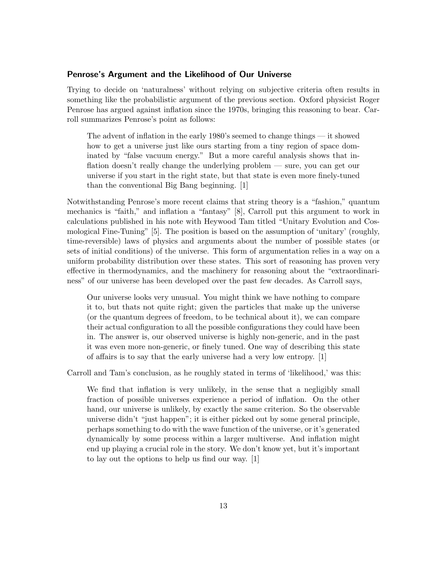#### Penrose's Argument and the Likelihood of Our Universe

Trying to decide on 'naturalness' without relying on subjective criteria often results in something like the probabilistic argument of the previous section. Oxford physicist Roger Penrose has argued against inflation since the 1970s, bringing this reasoning to bear. Carroll summarizes Penrose's point as follows:

The advent of inflation in the early 1980's seemed to change things — it showed how to get a universe just like ours starting from a tiny region of space dominated by "false vacuum energy." But a more careful analysis shows that inflation doesn't really change the underlying problem — sure, you can get our universe if you start in the right state, but that state is even more finely-tuned than the conventional Big Bang beginning. [1]

Notwithstanding Penrose's more recent claims that string theory is a "fashion," quantum mechanics is "faith," and inflation a "fantasy" [8], Carroll put this argument to work in calculations published in his note with Heywood Tam titled "Unitary Evolution and Cosmological Fine-Tuning" [5]. The position is based on the assumption of 'unitary' (roughly, time-reversible) laws of physics and arguments about the number of possible states (or sets of initial conditions) of the universe. This form of argumentation relies in a way on a uniform probability distribution over these states. This sort of reasoning has proven very effective in thermodynamics, and the machinery for reasoning about the "extraordinariness" of our universe has been developed over the past few decades. As Carroll says,

Our universe looks very unusual. You might think we have nothing to compare it to, but thats not quite right; given the particles that make up the universe (or the quantum degrees of freedom, to be technical about it), we can compare their actual configuration to all the possible configurations they could have been in. The answer is, our observed universe is highly non-generic, and in the past it was even more non-generic, or finely tuned. One way of describing this state of affairs is to say that the early universe had a very low entropy. [1]

Carroll and Tam's conclusion, as he roughly stated in terms of 'likelihood,' was this:

We find that inflation is very unlikely, in the sense that a negligibly small fraction of possible universes experience a period of inflation. On the other hand, our universe is unlikely, by exactly the same criterion. So the observable universe didn't "just happen"; it is either picked out by some general principle, perhaps something to do with the wave function of the universe, or it's generated dynamically by some process within a larger multiverse. And inflation might end up playing a crucial role in the story. We don't know yet, but it's important to lay out the options to help us find our way. [1]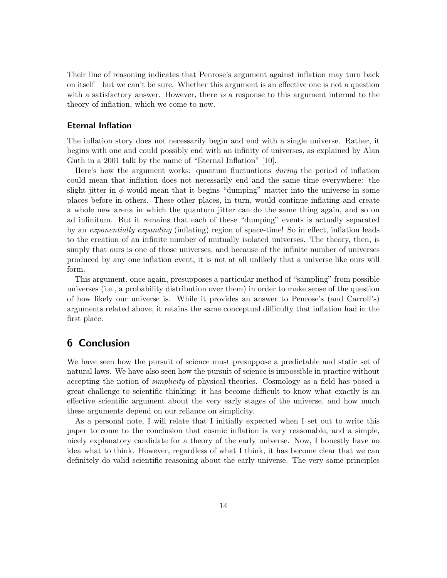Their line of reasoning indicates that Penrose's argument against inflation may turn back on itself—but we can't be sure. Whether this argument is an effective one is not a question with a satisfactory answer. However, there is a response to this argument internal to the theory of inflation, which we come to now.

#### Eternal Inflation

The inflation story does not necessarily begin and end with a single universe. Rather, it begins with one and could possibly end with an infinity of universes, as explained by Alan Guth in a 2001 talk by the name of "Eternal Inflation" [10].

Here's how the argument works: quantum fluctuations during the period of inflation could mean that inflation does not necessarily end and the same time everywhere: the slight jitter in  $\phi$  would mean that it begins "dumping" matter into the universe in some places before in others. These other places, in turn, would continue inflating and create a whole new arena in which the quantum jitter can do the same thing again, and so on ad infinitum. But it remains that each of these "dumping" events is actually separated by an exponentially expanding (inflating) region of space-time! So in effect, inflation leads to the creation of an infinite number of mutually isolated universes. The theory, then, is simply that ours is one of those universes, and because of the infinite number of universes produced by any one inflation event, it is not at all unlikely that a universe like ours will form.

This argument, once again, presupposes a particular method of "sampling" from possible universes (i.e., a probability distribution over them) in order to make sense of the question of how likely our universe is. While it provides an answer to Penrose's (and Carroll's) arguments related above, it retains the same conceptual difficulty that inflation had in the first place.

# 6 Conclusion

We have seen how the pursuit of science must presuppose a predictable and static set of natural laws. We have also seen how the pursuit of science is impossible in practice without accepting the notion of simplicity of physical theories. Cosmology as a field has posed a great challenge to scientific thinking: it has become difficult to know what exactly is an effective scientific argument about the very early stages of the universe, and how much these arguments depend on our reliance on simplicity.

As a personal note, I will relate that I initially expected when I set out to write this paper to come to the conclusion that cosmic inflation is very reasonable, and a simple, nicely explanatory candidate for a theory of the early universe. Now, I honestly have no idea what to think. However, regardless of what I think, it has become clear that we can definitely do valid scientific reasoning about the early universe. The very same principles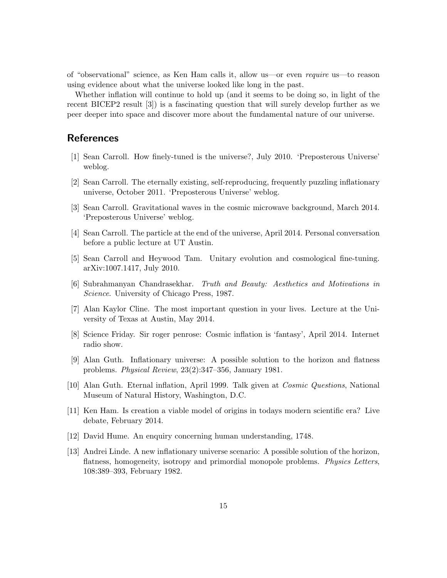of "observational" science, as Ken Ham calls it, allow us—or even require us—to reason using evidence about what the universe looked like long in the past.

Whether inflation will continue to hold up (and it seems to be doing so, in light of the recent BICEP2 result [3]) is a fascinating question that will surely develop further as we peer deeper into space and discover more about the fundamental nature of our universe.

### References

- [1] Sean Carroll. How finely-tuned is the universe?, July 2010. 'Preposterous Universe' weblog.
- [2] Sean Carroll. The eternally existing, self-reproducing, frequently puzzling inflationary universe, October 2011. 'Preposterous Universe' weblog.
- [3] Sean Carroll. Gravitational waves in the cosmic microwave background, March 2014. 'Preposterous Universe' weblog.
- [4] Sean Carroll. The particle at the end of the universe, April 2014. Personal conversation before a public lecture at UT Austin.
- [5] Sean Carroll and Heywood Tam. Unitary evolution and cosmological fine-tuning. arXiv:1007.1417, July 2010.
- [6] Subrahmanyan Chandrasekhar. Truth and Beauty: Aesthetics and Motivations in Science. University of Chicago Press, 1987.
- [7] Alan Kaylor Cline. The most important question in your lives. Lecture at the University of Texas at Austin, May 2014.
- [8] Science Friday. Sir roger penrose: Cosmic inflation is 'fantasy', April 2014. Internet radio show.
- [9] Alan Guth. Inflationary universe: A possible solution to the horizon and flatness problems. Physical Review, 23(2):347–356, January 1981.
- [10] Alan Guth. Eternal inflation, April 1999. Talk given at Cosmic Questions, National Museum of Natural History, Washington, D.C.
- [11] Ken Ham. Is creation a viable model of origins in todays modern scientific era? Live debate, February 2014.
- [12] David Hume. An enquiry concerning human understanding, 1748.
- [13] Andrei Linde. A new inflationary universe scenario: A possible solution of the horizon, flatness, homogeneity, isotropy and primordial monopole problems. *Physics Letters*, 108:389–393, February 1982.